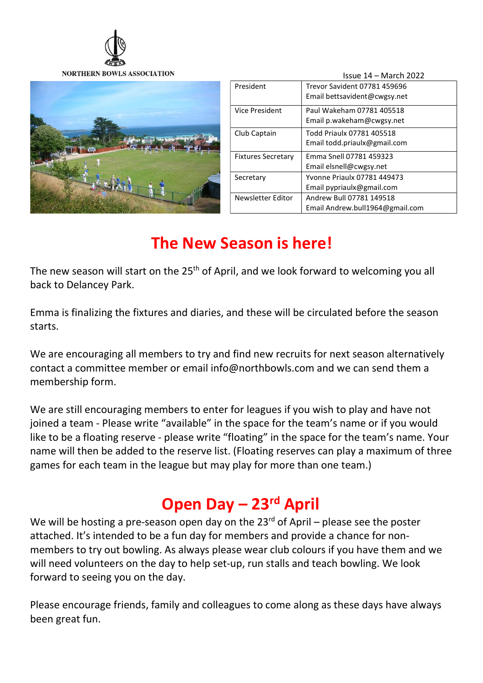



|  |                           | Issue $14 - \text{March } 2022$                                 |
|--|---------------------------|-----------------------------------------------------------------|
|  | President                 | Trevor Savident 07781 459696<br>Email bettsavident@cwgsy.net    |
|  | Vice President            | Paul Wakeham 07781 405518<br>Email p.wakeham@cwgsy.net          |
|  | Club Captain              | Todd Priaulx 07781 405518<br>Email todd.priaulx@gmail.com       |
|  | <b>Fixtures Secretary</b> | Emma Snell 07781 459323<br>Email elsnell@cwgsy.net              |
|  | Secretary                 | <b>Yvonne Priaulx 07781 449473</b><br>Email pypriaulx@gmail.com |
|  | Newsletter Editor         | Andrew Bull 07781 149518<br>Email Andrew.bull1964@gmail.com     |

#### The New Season is here!

The new season will start on the 25<sup>th</sup> of April, and we look forward to welcoming you all back to Delancey Park.

Emma is finalizing the fixtures and diaries, and these will be circulated before the season starts.

We are encouraging all members to try and find new recruits for next season alternatively contact a committee member or email info@northbowls.com and we can send them a membership form.

We are still encouraging members to enter for leagues if you wish to play and have not joined a team - Please write "available" in the space for the team's name or if you would like to be a floating reserve - please write "floating" in the space for the team's name. Your name will then be added to the reserve list. (Floating reserves can play a maximum of three games for each team in the league but may play for more than one team.)

#### Open Day – 23rd April

We will be hosting a pre-season open day on the  $23<sup>rd</sup>$  of April – please see the poster attached. It's intended to be a fun day for members and provide a chance for nonmembers to try out bowling. As always please wear club colours if you have them and we will need volunteers on the day to help set-up, run stalls and teach bowling. We look forward to seeing you on the day.

Please encourage friends, family and colleagues to come along as these days have always been great fun.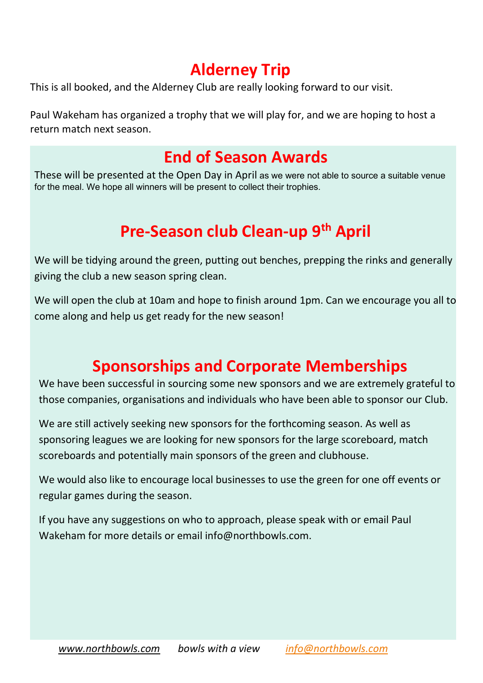#### Alderney Trip

This is all booked, and the Alderney Club are really looking forward to our visit.

Paul Wakeham has organized a trophy that we will play for, and we are hoping to host a return match next season.

#### End of Season Awards

These will be presented at the Open Day in April as we were not able to source a suitable venue for the meal. We hope all winners will be present to collect their trophies.

### Pre-Season club Clean-up 9th April

We will be tidying around the green, putting out benches, prepping the rinks and generally giving the club a new season spring clean.

We will open the club at 10am and hope to finish around 1pm. Can we encourage you all to come along and help us get ready for the new season!

#### Sponsorships and Corporate Memberships

We have been successful in sourcing some new sponsors and we are extremely grateful to those companies, organisations and individuals who have been able to sponsor our Club.

We are still actively seeking new sponsors for the forthcoming season. As well as sponsoring leagues we are looking for new sponsors for the large scoreboard, match scoreboards and potentially main sponsors of the green and clubhouse.

We would also like to encourage local businesses to use the green for one off events or regular games during the season.

If you have any suggestions on who to approach, please speak with or email Paul Wakeham for more details or email info@northbowls.com.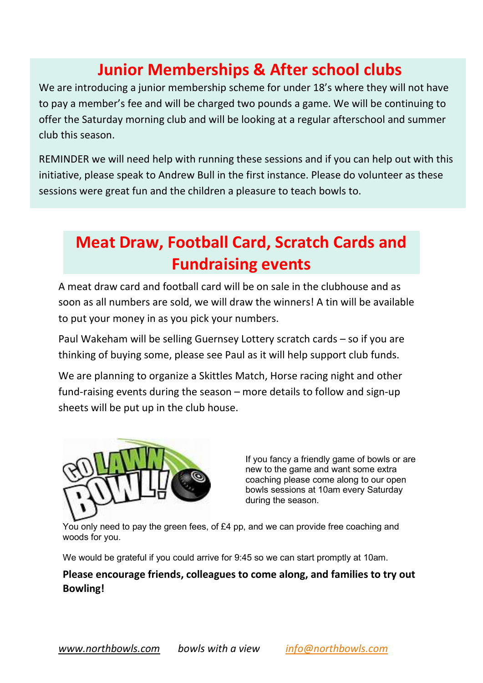#### Junior Memberships & After school clubs

We are introducing a junior membership scheme for under 18's where they will not have to pay a member's fee and will be charged two pounds a game. We will be continuing to offer the Saturday morning club and will be looking at a regular afterschool and summer club this season.

REMINDER we will need help with running these sessions and if you can help out with this initiative, please speak to Andrew Bull in the first instance. Please do volunteer as these sessions were great fun and the children a pleasure to teach bowls to.

#### Meat Draw, Football Card, Scratch Cards and Fundraising events

A meat draw card and football card will be on sale in the clubhouse and as soon as all numbers are sold, we will draw the winners! A tin will be available to put your money in as you pick your numbers.

Paul Wakeham will be selling Guernsey Lottery scratch cards – so if you are thinking of buying some, please see Paul as it will help support club funds.

We are planning to organize a Skittles Match, Horse racing night and other fund-raising events during the season – more details to follow and sign-up sheets will be put up in the club house.



If you fancy a friendly game of bowls or are new to the game and want some extra coaching please come along to our open bowls sessions at 10am every Saturday during the season.

You only need to pay the green fees, of £4 pp, and we can provide free coaching and woods for you.

We would be grateful if you could arrive for 9:45 so we can start promptly at 10am.

#### Please encourage friends, colleagues to come along, and families to try out Bowling!